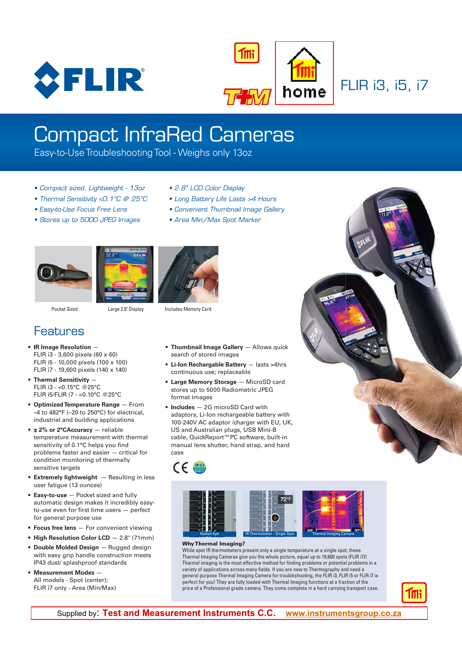



FLIR i3, i5, i7

# Compact InfraRed Cameras

Easy-to-Use Troubleshooting Tool - Weighs only 13oz

- Compact sized, Lightweight 13oz
- Thermal Sensitivity <0.1°C @ 25°C
- Easy-to-Use Focus Free Lens
- Stores up to 5000 JPEG Images
- 2.8" LCD Color Display
- Long Battery Life Lasts >4 Hours
- Convenient Thumbnail Image Gallery
- Area Min/Max Spot Marker







Pocket Sized Large 2.8" Display Includes Memory Card

### **Features**

- **IR Image Resolution**  FLIR i3 - 3,600 pixels (60 x 60) FLIR i5 - 10,000 pixels (100 x 100) FLIR i7 - 19,600 pixels (140 x 140)
- **Thermal Sensitivity**  FLIR i3 - <0.15°C @25°C FLIR i5/FLIR i7 - <0.10°C @25°C
- **Optimized Temperature Range**  From –4 to 482°F (–20 to 250°C) for electrical, industrial and building applications
- **± 2% or 2°CAccuracy**  reliable temperature measurement with thermal sensitivity of 0.1°C helps you find problems faster and easier — critical for condition monitoring of thermally sensitive targets
- **Extremely lightweight**  Resulting in less user fatigue (13 ounces)
- **Easy-to-use** Pocket sized and fully automatic design makes it incredibly easyto-use even for first time users — perfect for general purpose use
- **Focus free lens** For convenient viewing
- **High Resolution Color LCD** 2.8" (71mm)
- **Double Molded Design** Rugged design with easy grip handle construction meets IP43 dust/ splashproof standards
- **Measurement Modes** All models - Spot (center); FLIR i7 only - Area (Min/Max)
- **Thumbnail Image Gallery**  Allows quick search of stored images
- **Li-Ion Rechargable Battery** lasts >4hrs continuous use; replaceable
- **Large Memory Storage** MicroSD card stores up to 5000 Radiometric JPEG format images
- **Includes** 2G microSD Card with adaptors, Li-Ion rechargeable battery with 100-240V AC adaptor /charger with EU, UK, US and Australian plugs, USB Mini-B cable, QuickReport™PC software, built-in manual lens shutter, hand strap, and hard case





#### Why Thermal Imaging?

While spot IR thermometers present only a single temperature at a single spot, these Thermal Imaging Cameras give you the whole picture, equal up to 19,600 spots (FLIR i7)! Thermal imaging is the most effective method for finding problems or potential problems in a variety of applications across many fields. If you are new to Thermography and need a general purpose Thermal Imaging Camera for troubleshooting, the FLIR i3, FLIR i5 or FLIR i7 is perfect for you! They are fully loaded with Thermal Imaging functions at a fraction of the price of a Professional grade camera. They come complete in a hard carrying transport case.



lliik